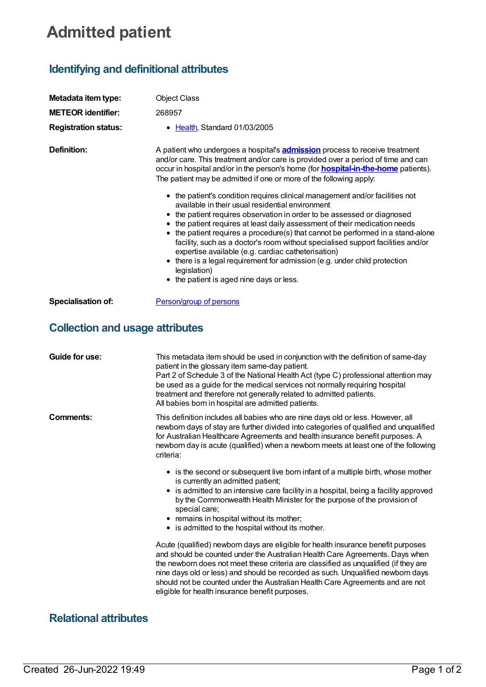## **Admitted patient**

## **Identifying and definitional attributes**

| Metadata item type:<br><b>METEOR identifier:</b><br><b>Registration status:</b> | <b>Object Class</b><br>268957<br>• Health, Standard 01/03/2005                                                                                                                                                                                                                                                                                                                                                                                                                                                                                                                                                                                                                                                                                                                                                                                                                                                                                                                                             |
|---------------------------------------------------------------------------------|------------------------------------------------------------------------------------------------------------------------------------------------------------------------------------------------------------------------------------------------------------------------------------------------------------------------------------------------------------------------------------------------------------------------------------------------------------------------------------------------------------------------------------------------------------------------------------------------------------------------------------------------------------------------------------------------------------------------------------------------------------------------------------------------------------------------------------------------------------------------------------------------------------------------------------------------------------------------------------------------------------|
| Definition:                                                                     | A patient who undergoes a hospital's <b>admission</b> process to receive treatment<br>and/or care. This treatment and/or care is provided over a period of time and can<br>occur in hospital and/or in the person's home (for <b>hospital-in-the-home</b> patients).<br>The patient may be admitted if one or more of the following apply:<br>• the patient's condition requires clinical management and/or facilities not<br>available in their usual residential environment<br>• the patient requires observation in order to be assessed or diagnosed<br>• the patient requires at least daily assessment of their medication needs<br>• the patient requires a procedure(s) that cannot be performed in a stand-alone<br>facility, such as a doctor's room without specialised support facilities and/or<br>expertise available (e.g. cardiac catheterisation)<br>there is a legal requirement for admission (e.g. under child protection<br>legislation)<br>• the patient is aged nine days or less. |
| <b>Specialisation of:</b>                                                       | Person/group of persons                                                                                                                                                                                                                                                                                                                                                                                                                                                                                                                                                                                                                                                                                                                                                                                                                                                                                                                                                                                    |
| <b>Collection and usage attributes</b>                                          |                                                                                                                                                                                                                                                                                                                                                                                                                                                                                                                                                                                                                                                                                                                                                                                                                                                                                                                                                                                                            |

| Guide for use: | This metadata item should be used in conjunction with the definition of same-day<br>patient in the glossary item same-day patient.<br>Part 2 of Schedule 3 of the National Health Act (type C) professional attention may<br>be used as a guide for the medical services not normally requiring hospital<br>treatment and therefore not generally related to admitted patients.<br>All babies born in hospital are admitted patients.                                           |
|----------------|---------------------------------------------------------------------------------------------------------------------------------------------------------------------------------------------------------------------------------------------------------------------------------------------------------------------------------------------------------------------------------------------------------------------------------------------------------------------------------|
| Comments:      | This definition includes all babies who are nine days old or less. However, all<br>newborn days of stay are further divided into categories of qualified and unqualified<br>for Australian Healthcare Agreements and health insurance benefit purposes. A<br>newborn day is acute (qualified) when a newborn meets at least one of the following<br>criteria:                                                                                                                   |
|                | • is the second or subsequent live born infant of a multiple birth, whose mother<br>is currently an admitted patient;<br>• is admitted to an intensive care facility in a hospital, being a facility approved<br>by the Commonwealth Health Minister for the purpose of the provision of<br>special care;<br>• remains in hospital without its mother;<br>• is admitted to the hospital without its mother.                                                                     |
|                | Acute (qualified) newborn days are eligible for health insurance benefit purposes<br>and should be counted under the Australian Health Care Agreements. Days when<br>the newborn does not meet these criteria are classified as unqualified (if they are<br>nine days old or less) and should be recorded as such. Unqualified newborn days<br>should not be counted under the Australian Health Care Agreements and are not<br>eligible for health insurance benefit purposes. |

## **Relational attributes**